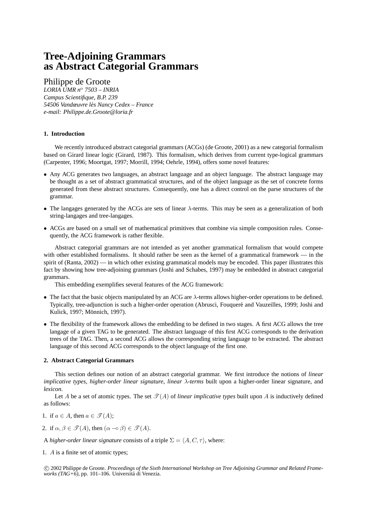# **Tree-Adjoining Grammars as Abstract Categorial Grammars**

Philippe de Groote

*LORIA UMR n*<sup>o</sup> *7503 – INRIA Campus Scientifique, B.P. 239 54506 Vandœuvre les Nancy Cedex – France ` e-mail: Philippe.de.Groote@loria.fr*

# **1. Introduction**

We recently introduced abstract categorial grammars (ACGs) (de Groote, 2001) as a new categorial formalism based on Girard linear logic (Girard, 1987). This formalism, which derives from current type-logical grammars (Carpenter, 1996; Moortgat, 1997; Morrill, 1994; Oehrle, 1994), offers some novel features:

- Any ACG generates two languages, an abstract language and an object language. The abstract language may be thought as a set of abstract grammatical structures, and of the object language as the set of concrete forms generated from these abstract structures. Consequently, one has a direct control on the parse structures of the grammar.
- The langages generated by the ACGs are sets of linear  $\lambda$ -terms. This may be seen as a generalization of both string-langages and tree-langages.
- ACGs are based on a small set of mathematical primitives that combine via simple composition rules. Consequently, the ACG framework is rather flexible.

Abstract categorial grammars are not intended as yet another grammatical formalism that would compete with other established formalisms. It should rather be seen as the kernel of a grammatical framework — in the spirit of (Ranta, 2002) — in which other existing grammatical models may be encoded. This paper illustrates this fact by showing how tree-adjoining grammars (Joshi and Schabes, 1997) may be embedded in abstract categorial grammars.

This embedding exemplifies several features of the ACG framework:

- The fact that the basic objects manipulated by an ACG are  $\lambda$ -terms allows higher-order operations to be defined. Typically, tree-adjunction is such a higher-order operation (Abrusci, Fouquere and Vauzeilles, 1999; Joshi and ´ Kulick, 1997; Mönnich, 1997).
- The flexibility of the framework allows the embedding to be defined in two stages. A first ACG allows the tree langage of a given TAG to be generated. The abstract language of this first ACG corresponds to the derivation trees of the TAG. Then, a second ACG allows the corresponding string language to be extracted. The abstract language of this second ACG corresponds to the object language of the first one.

# **2. Abstract Categorial Grammars**

This section defines our notion of an abstract categorial grammar. We first introduce the notions of *linear implicative types*, *higher-order linear signature*, *linear* λ*-terms* built upon a higher-order linear signature, and *lexicon*.

Let A be a set of atomic types. The set  $\mathcal{T}(A)$  of *linear implicative types* built upon A is inductively defined as follows:

- 1. if  $a \in A$ , then  $a \in \mathcal{T}(A)$ ;
- 2. if  $\alpha, \beta \in \mathcal{T}(A)$ , then  $(\alpha \neg \circ \beta) \in \mathcal{T}(A)$ .

A *higher-order linear signature* consists of a triple  $\Sigma = \langle A, C, \tau \rangle$ , where:

1. A is a finite set of atomic types;

 c 2002 Philippe de Groote. *Proceedings of the Sixth International Workshop on Tree Adjoining Grammar and Related Frameworks (TAG+6)*, pp. 101–106. Universita di Venezia. ´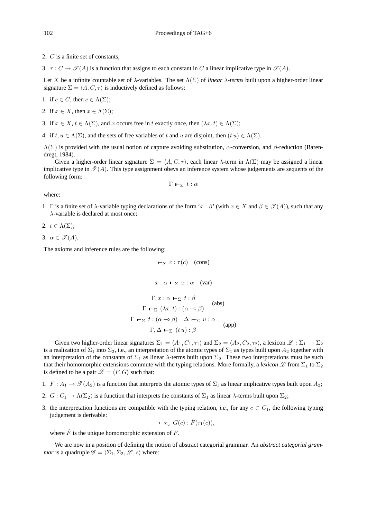2. C is a finite set of constants;

3.  $\tau : C \to \mathcal{I}(A)$  is a function that assigns to each constant in C a linear implicative type in  $\mathcal{I}(A)$ .

Let X be a infinite countable set of  $\lambda$ -variables. The set  $\Lambda(\Sigma)$  of *linear*  $\lambda$ -terms built upon a higher-order linear signature  $\Sigma = \langle A, C, \tau \rangle$  is inductively defined as follows:

1. if  $c \in C$ , then  $c \in \Lambda(\Sigma)$ ;

2. if  $x \in X$ , then  $x \in \Lambda(\Sigma)$ ;

3. if  $x \in X$ ,  $t \in \Lambda(\Sigma)$ , and x occurs free in t exactly once, then  $(\lambda x. t) \in \Lambda(\Sigma)$ ;

4. if  $t, u \in \Lambda(\Sigma)$ , and the sets of free variables of t and u are disjoint, then  $(t u) \in \Lambda(\Sigma)$ .

 $Λ(Σ)$  is provided with the usual notion of capture avoiding substitution,  $α$ -conversion, and  $β$ -reduction (Barendregt, 1984).

Given a higher-order linear signature  $\Sigma = \langle A, C, \tau \rangle$ , each linear  $\lambda$ -term in  $\Lambda(\Sigma)$  may be assigned a linear implicative type in  $\mathcal{T}(A)$ . This type assignment obeys an inference system whose judgements are sequents of the following form:

$$
\Gamma \vdash_{\Sigma} t : \alpha
$$

where:

1. Γ is a finite set of  $\lambda$ -variable typing declarations of the form 'x:  $\beta'$ ' (with  $x \in X$  and  $\beta \in \mathcal{T}(A)$ ), such that any λ-variable is declared at most once;

2.  $t \in \Lambda(\Sigma)$ ;

3.  $\alpha \in \mathscr{T}(A)$ .

The axioms and inference rules are the following:

$$
\vdash_{\Sigma} c : \tau(c) \quad \text{(cons)}
$$

$$
x:\alpha\,\vdash_\Sigma\, x:\alpha\quad (\text{var})
$$

$$
\frac{\Gamma, x : \alpha \vdash_{\Sigma} t : \beta}{\Gamma \vdash_{\Sigma} (\lambda x. t) : (\alpha \negthinspace \negthinspace \negthinspace \negthinspace \alpha \beta)} \quad \text{(abs)}
$$
\n
$$
\frac{\Gamma \vdash_{\Sigma} t : (\alpha \negthinspace \negthinspace \negthinspace \alpha \beta) \quad \Delta \vdash_{\Sigma} u : \alpha}{\Gamma, \Delta \vdash_{\Sigma} (t u) : \beta} \quad \text{(app)}
$$

Given two higher-order linear signatures  $\Sigma_1 = \langle A_1, C_1, \tau_1 \rangle$  and  $\Sigma_2 = \langle A_2, C_2, \tau_2 \rangle$ , a lexicon  $\mathscr{L} : \Sigma_1 \to \Sigma_2$ is a realization of  $\Sigma_1$  into  $\Sigma_2$ , i.e., an interpretation of the atomic types of  $\Sigma_1$  as types built upon  $A_2$  together with an interpretation of the constants of  $\Sigma_1$  as linear  $\lambda$ -terms built upon  $\Sigma_2$ . These two interpretations must be such that their homomorphic extensions commute with the typing relations. More formally, a *lexicon*  $\mathscr L$  from  $\Sigma_1$  to  $\Sigma_2$ is defined to be a pair  $\mathscr{L} = \langle F, G \rangle$  such that:

- 1.  $F: A_1 \to \mathcal{T}(A_2)$  is a function that interprets the atomic types of  $\Sigma_1$  as linear implicative types built upon  $A_2$ ;
- 2.  $G: C_1 \to \Lambda(\Sigma_2)$  is a function that interprets the constants of  $\Sigma_1$  as linear  $\lambda$ -terms built upon  $\Sigma_2$ ;
- 3. the interpretation functions are compatible with the typing relation, *i.e.*, for any  $c \in C_1$ , the following typing judgement is derivable:

$$
\vdash_{\Sigma_2} G(c): \hat{F}(\tau_1(c)),
$$

where  $\hat{F}$  is the unique homomorphic extension of F.

We are now in a position of defining the notion of abstract categorial grammar. An *abstract categorial grammar* is a quadruple  $\mathscr{G} = \langle \Sigma_1, \Sigma_2, \mathscr{L}, s \rangle$  where: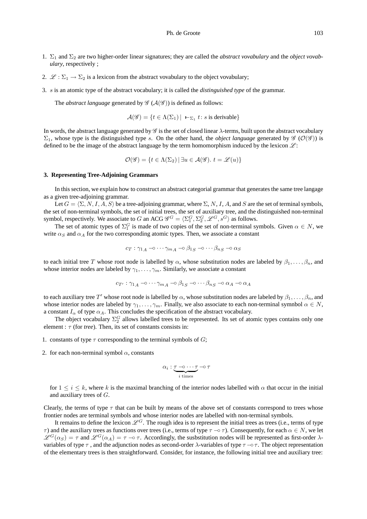- 1. Σ<sup>1</sup> and Σ<sup>2</sup> are two higher-order linear signatures; they are called the *abstract vovabulary* and the *object vovabulary*, respectively ;
- 2.  $\mathcal{L} : \Sigma_1 \to \Sigma_2$  is a lexicon from the abstract vovabulary to the object vovabulary;
- 3. s is an atomic type of the abstract vocabulary; it is called the *distinguished type* of the grammar.

The *abstract language* generated by  $\mathscr{G}(\mathcal{A}(\mathscr{G}))$  is defined as follows:

 $\mathcal{A}(\mathscr{G}) = \{ t \in \Lambda(\Sigma_1) \mid \mathbf{I}_{\Sigma_1} t : s \text{ is derivable} \}$ 

In words, the abstract language generated by  $\mathscr G$  is the set of closed linear  $\lambda$ -terms, built upon the abstract vocabulary  $\Sigma_1$ , whose type is the distinguished type s. On the other hand, the *object language* generated by  $\mathscr{G}(\mathcal{O}(\mathscr{G}))$  is defined to be the image of the abstract language by the term homomorphism induced by the lexicon  $\mathcal{L}$ :

$$
\mathcal{O}(\mathscr{G}) = \{ t \in \Lambda(\Sigma_2) \, | \, \exists u \in \mathcal{A}(\mathscr{G}). \ t = \mathscr{L}(u) \}
$$

## **3. Representing Tree-Adjoining Grammars**

In this section, we explain how to construct an abstract categorial grammar that generates the same tree langage as a given tree-adjoining grammar.

Let  $G = \langle \Sigma, N, I, A, S \rangle$  be a tree-adjoining grammar, where  $\Sigma, N, I, A$ , and S are the set of terminal symbols, the set of non-terminal symbols, the set of initial trees, the set of auxiliary tree, and the distinguished non-terminal symbol, respectively. We associate to G an ACG  $\mathscr{G}^G = \langle \Sigma_1^G, \Sigma_2^G, \mathscr{L}^G, s^G \rangle$  as follows.

The set of atomic types of  $\Sigma_1^G$  is made of two copies of the set of non-terminal symbols. Given  $\alpha \in N$ , we write  $\alpha_S$  and  $\alpha_A$  for the two corresponding atomic types. Then, we associate a constant

$$
c_T : \gamma_{1_A} \multimap \dots \gamma_{m_A} \multimap \beta_{1_S} \multimap \dots \beta_{n_S} \multimap \alpha_S
$$

to each initial tree T whose root node is labelled by  $\alpha$ , whose substitution nodes are labeled by  $\beta_1, \ldots, \beta_n$ , and whose interior nodes are labeled by  $\gamma_1, \ldots, \gamma_m$ . Similarly, we associate a constant

$$
c_{T'} : \gamma_{1A} \circ \cdots \gamma_{mA} \circ \beta_{1S} \circ \cdots \beta_{nS} \circ \alpha_A \circ \alpha_A
$$

to each auxiliary tree  $T'$  whose root node is labelled by  $\alpha$ , whose substitution nodes are labeled by  $\beta_1,\ldots,\beta_n$ , and whose interior nodes are labeled by  $\gamma_1, \ldots, \gamma_m$ . Finally, we also associate to each non-terminal symnbol  $\alpha \in N$ , a constant  $I_{\alpha}$  of type  $\alpha_A$ . This concludes the specification of the abstract vocabulary.

The object vocabulary  $\Sigma_2^G$  allows labelled trees to be represented. Its set of atomic types contains only one element : τ (for *tree*). Then, its set of constants consists in:

- 1. constants of type  $\tau$  corresponding to the terminal symbols of  $G$ ;
- 2. for each non-terminal symbol  $\alpha$ , constants

$$
\alpha_i : \underbrace{\tau \multimap \dots \tau}_{i \text{ times}} \multimap \tau
$$

for  $1 \leq i \leq k$ , where k is the maximal branching of the interior nodes labelled with  $\alpha$  that occur in the initial and auxiliary trees of G.

Clearly, the terms of type  $\tau$  that can be built by means of the above set of constants correspond to trees whose frontier nodes are terminal symbols and whose interior nodes are labelled with non-terminal symbols.

It remains to define the lexicon  $\mathscr{L}^G$ . The rough idea is to represent the initial trees as trees (i.e., terms of type  $\tau$ ) and the auxiliary trees as functions over trees (i.e., terms of type  $\tau \to \tau$ ). Consequently, for each  $\alpha \in N$ , we let  $\mathscr{L}^G(\alpha_S) = \tau$  and  $\mathscr{L}^G(\alpha_A) = \tau \to \tau$ . Accordingly, the susbstitution nodes will be represented as first-order  $\lambda$ variables of type  $\tau$ , and the adjunction nodes as second-order  $\lambda$ -variables of type  $\tau \rightarrow \tau$ . The object representation of the elementary trees is then straightforward. Consider, for instance, the following initial tree and auxiliary tree: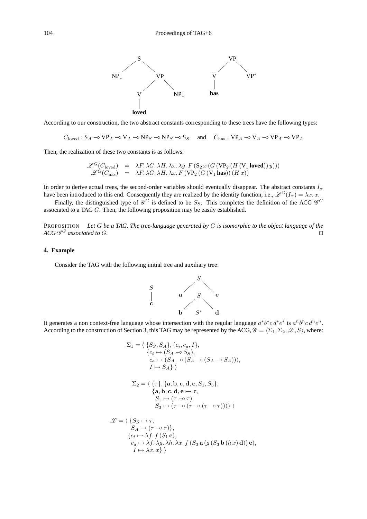

According to our construction, the two abstract constants corresponding to these trees have the following types:

 $C_{\text{loved}}$ :  $S_A \rightarrow VP_A \rightarrow VP_A \rightarrow NP_S \rightarrow NP_S \rightarrow S_S$  and  $C_{\text{has}}$ :  $VP_A \rightarrow VP_A \rightarrow VP_A \rightarrow VP_A$ 

Then, the realization of these two constants is as follows:

$$
\begin{array}{rcl}\mathscr{L}^G(C_{\text{loved}}) &=& \lambda F. \, \lambda G. \, \lambda H. \, \lambda x. \, \lambda y. \, F\left(\text{S}_2\, x\left(G\left(\text{VP}_2\left(H\left(\text{V}_1\, \text{loved}\right)\right) y\right)\right)\right) \\
\mathscr{L}^G(C_{\text{has}}) &=& \lambda F. \, \lambda G. \, \lambda H. \, \lambda x. \, F\left(\text{VP}_2\left(G\left(\text{V}_1\, \text{has}\right)\right)\left(H\, x\right)\right)\n\end{array}
$$

In order to derive actual trees, the second-order variables should eventually disappear. The abstract constants  $I_{\alpha}$ have been introduced to this end. Consequently they are realized by the identity function, i.e.,  $\mathscr{L}^G(I_\alpha) = \lambda x. x.$ 

Finally, the distinguished type of  $\mathscr{G}^G$  is defined to be  $S_S$ . This completes the definition of the ACG  $\mathscr{G}^G$ associated to a TAG G. Then, the following proposition may be easily established.

PROPOSITION *Let* G *be a TAG. The tree-language generated by* G *is isomorphic to the object language of the*  $ACG$  *G<sup>G</sup>* associated to G.

#### **4. Example**

Consider the TAG with the following initial tree and auxiliary tree:



It generates a non context-free language whose intersection with the regular language  $a^*b^*c d^*e^*$  is  $a^nb^nc d^ne^n$ . According to the construction of Section 3, this TAG may be represented by the ACG,  $\mathscr{G} = \langle \Sigma_1, \Sigma_2, \mathscr{L}, S \rangle$ , where:

$$
\Sigma_1 = \langle \{S_S, S_A\}, \{c_i, c_a, I\}, \\ \{c_i \mapsto (S_A \multimap S_S), \\ c_a \mapsto (S_A \multimap (S_A \multimap (S_A \multimap S_A))), \\ I \mapsto S_A \} \rangle
$$

$$
\Sigma_2 = \langle \{ \tau \}, \{ \mathbf{a}, \mathbf{b}, \mathbf{c}, \mathbf{d}, \mathbf{e}, S_1, S_3 \}, \newline \{ \mathbf{a}, \mathbf{b}, \mathbf{c}, \mathbf{d}, \mathbf{e} \mapsto \tau, \newline S_1 \mapsto (\tau \neg \circ \tau), \newline S_3 \mapsto (\tau \neg \circ (\tau \neg \circ (\tau \neg \circ \tau)))) \} \rangle
$$

$$
\mathcal{L} = \langle \{S_S \mapsto \tau, \nS_A \mapsto (\tau \to \tau)\}, \n\{c_i \mapsto \lambda f. \ f(S_1 \mathbf{c}), \n\quad_c_a \mapsto \lambda f. \lambda g. \lambda h. \lambda x. \ f(S_3 \mathbf{a} (g (S_3 \mathbf{b} (h x) \mathbf{d})) \mathbf{e}), \nI \mapsto \lambda x. x \}\rangle
$$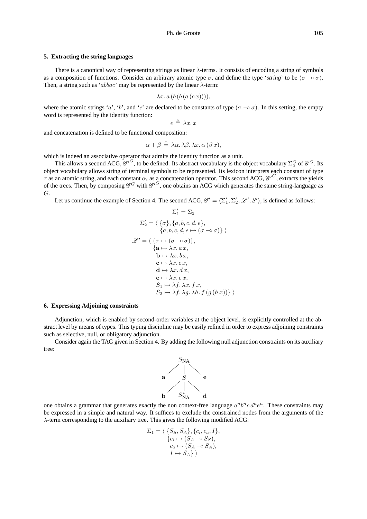#### **5. Extracting the string languages**

There is a canonical way of representing strings as linear  $\lambda$ -terms. It consists of encoding a string of symbols as a composition of functions. Consider an arbitrary atomic type  $\sigma$ , and define the type '*string*' to be ( $\sigma \to \sigma$ ). Then, a string such as 'abbac' may be represented by the linear  $\lambda$ -term:

$$
\lambda x. a (b (b (a (c x))))
$$

where the atomic strings 'a', 'b', and 'c' are declared to be constants of type ( $\sigma \to \sigma$ ). In this setting, the empty word is represented by the identity function:

$$
\epsilon \triangleq \lambda x. x
$$

and concatenation is defined to be functional composition:

$$
\alpha + \beta \triangleq \lambda \alpha. \lambda \beta. \lambda x. \alpha (\beta x),
$$

which is indeed an associative operator that admits the identity function as a unit.

This allows a second ACG,  $\mathscr{G}'^G$ , to be defined. Its abstract vocabulary is the object vocabulary  $\Sigma_2^G$  of  $\mathscr{G}^G$ . Its object vocabulary allows string of terminal symbols to be represented. Its lexicon interprets each constant of type  $\tau$  as an atomic string, and each constant  $\alpha_i$  as a concatenation operator. This second ACG,  $\mathscr{G}'^G$ , extracts the yields of the trees. Then, by composing  $\mathscr{G}^G$  with  $\mathscr{G}'^G$ , one obtains an ACG which generates the same string-language as G.

Let us continue the example of Section 4. The second ACG,  $\mathscr{G}' = \langle \Sigma'_1, \Sigma'_2, \mathscr{L}', S' \rangle$ , is defined as follows:

$$
\Sigma'_{1} = \Sigma_{2}
$$
\n
$$
\Sigma'_{2} = \langle \{\sigma\}, \{a, b, c, d, e\},
$$
\n
$$
\{a, b, c, d, e \mapsto (\sigma \to \sigma)\} \rangle
$$
\n
$$
\mathscr{L}' = \langle \{\tau \mapsto (\sigma \to \sigma)\},
$$
\n
$$
\{\mathbf{a} \mapsto \lambda x. a x,
$$
\n
$$
\mathbf{b} \mapsto \lambda x. b x,
$$
\n
$$
\mathbf{c} \mapsto \lambda x. c x,
$$
\n
$$
\mathbf{d} \mapsto \lambda x. d x,
$$
\n
$$
\mathbf{e} \mapsto \lambda x. e x,
$$
\n
$$
S_{1} \mapsto \lambda f. \lambda x. f x,
$$
\n
$$
S_{3} \mapsto \lambda f. \lambda g. \lambda h. f (g (h x))\}\rangle
$$

## **6. Expressing Adjoining constraints**

Adjunction, which is enabled by second-order variables at the object level, is explicitly controlled at the abstract level by means of types. This typing discipline may be easily refined in order to express adjoining constraints such as selective, null, or obligatory adjunction.

Consider again the TAG given in Section 4. By adding the following null adjunction constraints on its auxiliary tree:



one obtains a grammar that generates exactly the non context-free language  $a^n b^n c d^n e^n$ . These constraints may be expressed in a simple and natural way. It suffices to exclude the constrained nodes from the arguments of the  $\lambda$ -term corresponding to the auxiliary tree. This gives the following modified ACG:

$$
\Sigma_1 = \langle \{S_S, S_A\}, \{c_i, c_a, I\}, \n\{c_i \mapsto (S_A \multimap S_S), \n c_a \mapsto (S_A \multimap S_A), \nI \mapsto S_A \} \rangle
$$